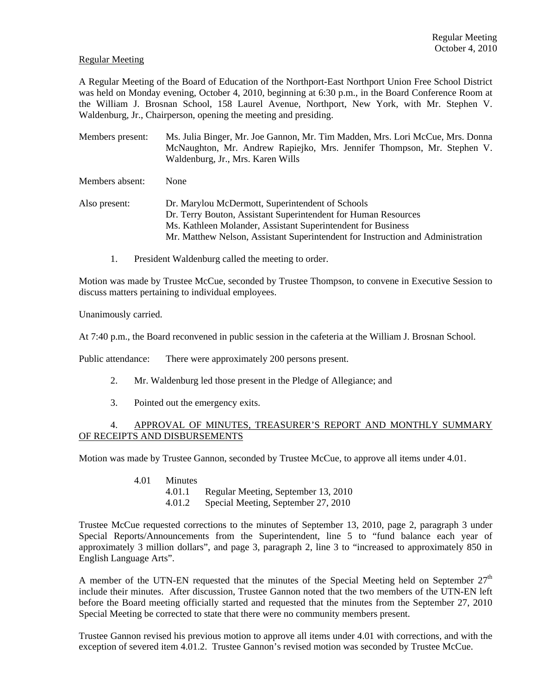### Regular Meeting

A Regular Meeting of the Board of Education of the Northport-East Northport Union Free School District was held on Monday evening, October 4, 2010, beginning at 6:30 p.m., in the Board Conference Room at the William J. Brosnan School, 158 Laurel Avenue, Northport, New York, with Mr. Stephen V. Waldenburg, Jr., Chairperson, opening the meeting and presiding.

Members present: Ms. Julia Binger, Mr. Joe Gannon, Mr. Tim Madden, Mrs. Lori McCue, Mrs. Donna McNaughton, Mr. Andrew Rapiejko, Mrs. Jennifer Thompson, Mr. Stephen V. Waldenburg, Jr., Mrs. Karen Wills

Members absent: None

Also present: Dr. Marylou McDermott, Superintendent of Schools Dr. Terry Bouton, Assistant Superintendent for Human Resources Ms. Kathleen Molander, Assistant Superintendent for Business Mr. Matthew Nelson, Assistant Superintendent for Instruction and Administration

1. President Waldenburg called the meeting to order.

Motion was made by Trustee McCue, seconded by Trustee Thompson, to convene in Executive Session to discuss matters pertaining to individual employees.

Unanimously carried.

At 7:40 p.m., the Board reconvened in public session in the cafeteria at the William J. Brosnan School.

Public attendance: There were approximately 200 persons present.

- 2. Mr. Waldenburg led those present in the Pledge of Allegiance; and
- 3. Pointed out the emergency exits.

# 4. APPROVAL OF MINUTES, TREASURER'S REPORT AND MONTHLY SUMMARY OF RECEIPTS AND DISBURSEMENTS

Motion was made by Trustee Gannon, seconded by Trustee McCue, to approve all items under 4.01.

- 4.01 Minutes
	- 4.01.1 Regular Meeting, September 13, 2010
	- 4.01.2 Special Meeting, September 27, 2010

Trustee McCue requested corrections to the minutes of September 13, 2010, page 2, paragraph 3 under Special Reports/Announcements from the Superintendent, line 5 to "fund balance each year of approximately 3 million dollars", and page 3, paragraph 2, line 3 to "increased to approximately 850 in English Language Arts".

A member of the UTN-EN requested that the minutes of the Special Meeting held on September  $27<sup>th</sup>$ include their minutes. After discussion, Trustee Gannon noted that the two members of the UTN-EN left before the Board meeting officially started and requested that the minutes from the September 27, 2010 Special Meeting be corrected to state that there were no community members present.

Trustee Gannon revised his previous motion to approve all items under 4.01 with corrections, and with the exception of severed item 4.01.2. Trustee Gannon's revised motion was seconded by Trustee McCue.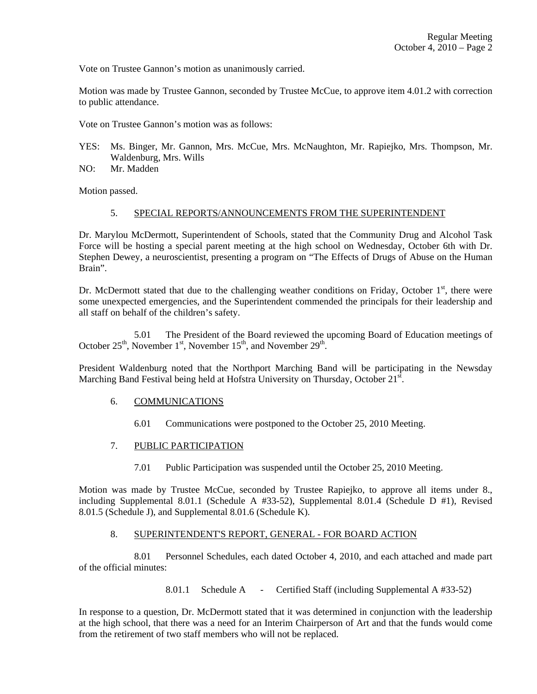Vote on Trustee Gannon's motion as unanimously carried.

Motion was made by Trustee Gannon, seconded by Trustee McCue, to approve item 4.01.2 with correction to public attendance.

Vote on Trustee Gannon's motion was as follows:

- YES: Ms. Binger, Mr. Gannon, Mrs. McCue, Mrs. McNaughton, Mr. Rapiejko, Mrs. Thompson, Mr. Waldenburg, Mrs. Wills
- NO: Mr. Madden

Motion passed.

#### 5. SPECIAL REPORTS/ANNOUNCEMENTS FROM THE SUPERINTENDENT

Dr. Marylou McDermott, Superintendent of Schools, stated that the Community Drug and Alcohol Task Force will be hosting a special parent meeting at the high school on Wednesday, October 6th with Dr. Stephen Dewey, a neuroscientist, presenting a program on "The Effects of Drugs of Abuse on the Human Brain".

Dr. McDermott stated that due to the challenging weather conditions on Friday, October  $1<sup>st</sup>$ , there were some unexpected emergencies, and the Superintendent commended the principals for their leadership and all staff on behalf of the children's safety.

 5.01 The President of the Board reviewed the upcoming Board of Education meetings of October  $25<sup>th</sup>$ , November  $1<sup>st</sup>$ , November  $15<sup>th</sup>$ , and November  $29<sup>th</sup>$ .

President Waldenburg noted that the Northport Marching Band will be participating in the Newsday Marching Band Festival being held at Hofstra University on Thursday, October  $21^{s}$ .

#### 6. COMMUNICATIONS

6.01 Communications were postponed to the October 25, 2010 Meeting.

# 7. PUBLIC PARTICIPATION

7.01 Public Participation was suspended until the October 25, 2010 Meeting.

Motion was made by Trustee McCue, seconded by Trustee Rapiejko, to approve all items under 8., including Supplemental 8.01.1 (Schedule A #33-52), Supplemental 8.01.4 (Schedule D #1), Revised 8.01.5 (Schedule J), and Supplemental 8.01.6 (Schedule K).

#### 8. SUPERINTENDENT'S REPORT, GENERAL - FOR BOARD ACTION

 8.01 Personnel Schedules, each dated October 4, 2010, and each attached and made part of the official minutes:

8.01.1 Schedule A - Certified Staff (including Supplemental A #33-52)

In response to a question, Dr. McDermott stated that it was determined in conjunction with the leadership at the high school, that there was a need for an Interim Chairperson of Art and that the funds would come from the retirement of two staff members who will not be replaced.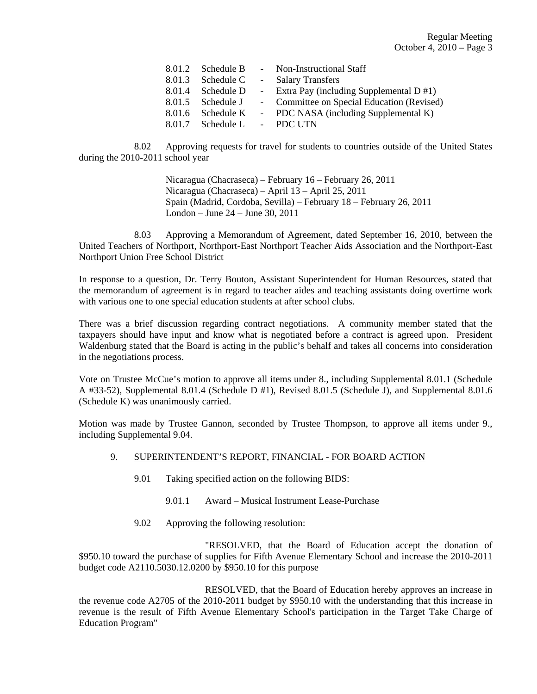| 8.01.2 Schedule B           | - Non-Instructional Staff                     |
|-----------------------------|-----------------------------------------------|
| 8.01.3 Schedule C           | - Salary Transfers                            |
| 8.01.4 Schedule D           | - Extra Pay (including Supplemental $D \#1$ ) |
| 8.01.5 Schedule J           | - Committee on Special Education (Revised)    |
| 8.01.6 Schedule K           | - PDC NASA (including Supplemental K)         |
| 8.01.7 Schedule L - PDC UTN |                                               |

 8.02 Approving requests for travel for students to countries outside of the United States during the 2010-2011 school year

> Nicaragua (Chacraseca) – February 16 – February 26, 2011 Nicaragua (Chacraseca) – April 13 – April 25, 2011 Spain (Madrid, Cordoba, Sevilla) – February 18 – February 26, 2011 London – June 24 – June 30, 2011

 8.03 Approving a Memorandum of Agreement, dated September 16, 2010, between the United Teachers of Northport, Northport-East Northport Teacher Aids Association and the Northport-East Northport Union Free School District

In response to a question, Dr. Terry Bouton, Assistant Superintendent for Human Resources, stated that the memorandum of agreement is in regard to teacher aides and teaching assistants doing overtime work with various one to one special education students at after school clubs.

There was a brief discussion regarding contract negotiations. A community member stated that the taxpayers should have input and know what is negotiated before a contract is agreed upon. President Waldenburg stated that the Board is acting in the public's behalf and takes all concerns into consideration in the negotiations process.

Vote on Trustee McCue's motion to approve all items under 8., including Supplemental 8.01.1 (Schedule A #33-52), Supplemental 8.01.4 (Schedule D #1), Revised 8.01.5 (Schedule J), and Supplemental 8.01.6 (Schedule K) was unanimously carried.

Motion was made by Trustee Gannon, seconded by Trustee Thompson, to approve all items under 9., including Supplemental 9.04.

#### 9. SUPERINTENDENT'S REPORT, FINANCIAL - FOR BOARD ACTION

- 9.01 Taking specified action on the following BIDS:
	- 9.01.1 Award Musical Instrument Lease-Purchase
- 9.02 Approving the following resolution:

 "RESOLVED, that the Board of Education accept the donation of \$950.10 toward the purchase of supplies for Fifth Avenue Elementary School and increase the 2010-2011 budget code A2110.5030.12.0200 by \$950.10 for this purpose

 RESOLVED, that the Board of Education hereby approves an increase in the revenue code A2705 of the 2010-2011 budget by \$950.10 with the understanding that this increase in revenue is the result of Fifth Avenue Elementary School's participation in the Target Take Charge of Education Program"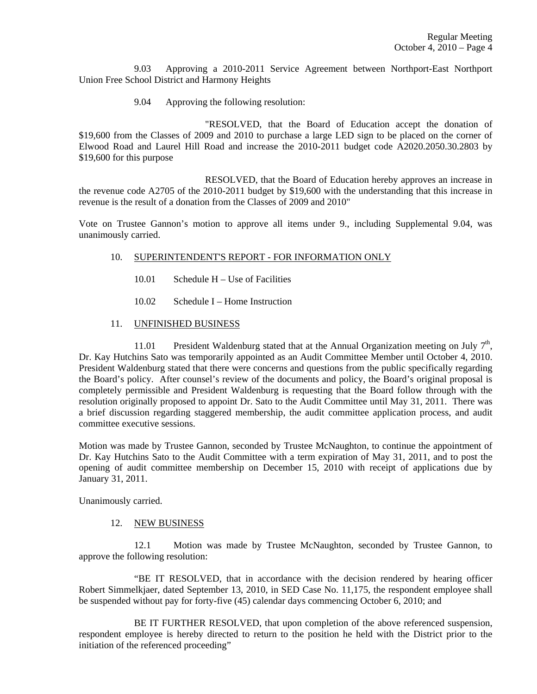9.03 Approving a 2010-2011 Service Agreement between Northport-East Northport Union Free School District and Harmony Heights

9.04 Approving the following resolution:

 "RESOLVED, that the Board of Education accept the donation of \$19,600 from the Classes of 2009 and 2010 to purchase a large LED sign to be placed on the corner of Elwood Road and Laurel Hill Road and increase the 2010-2011 budget code A2020.2050.30.2803 by \$19,600 for this purpose

 RESOLVED, that the Board of Education hereby approves an increase in the revenue code A2705 of the 2010-2011 budget by \$19,600 with the understanding that this increase in revenue is the result of a donation from the Classes of 2009 and 2010"

Vote on Trustee Gannon's motion to approve all items under 9., including Supplemental 9.04, was unanimously carried.

#### 10. SUPERINTENDENT'S REPORT - FOR INFORMATION ONLY

- 10.01 Schedule H Use of Facilities
- 10.02 Schedule I Home Instruction

### 11. UNFINISHED BUSINESS

11.01 President Waldenburg stated that at the Annual Organization meeting on July  $7<sup>th</sup>$ , Dr. Kay Hutchins Sato was temporarily appointed as an Audit Committee Member until October 4, 2010. President Waldenburg stated that there were concerns and questions from the public specifically regarding the Board's policy. After counsel's review of the documents and policy, the Board's original proposal is completely permissible and President Waldenburg is requesting that the Board follow through with the resolution originally proposed to appoint Dr. Sato to the Audit Committee until May 31, 2011. There was a brief discussion regarding staggered membership, the audit committee application process, and audit committee executive sessions.

Motion was made by Trustee Gannon, seconded by Trustee McNaughton, to continue the appointment of Dr. Kay Hutchins Sato to the Audit Committee with a term expiration of May 31, 2011, and to post the opening of audit committee membership on December 15, 2010 with receipt of applications due by January 31, 2011.

Unanimously carried.

#### 12. NEW BUSINESS

 12.1 Motion was made by Trustee McNaughton, seconded by Trustee Gannon, to approve the following resolution:

 "BE IT RESOLVED, that in accordance with the decision rendered by hearing officer Robert Simmelkjaer, dated September 13, 2010, in SED Case No. 11,175, the respondent employee shall be suspended without pay for forty-five (45) calendar days commencing October 6, 2010; and

 BE IT FURTHER RESOLVED, that upon completion of the above referenced suspension, respondent employee is hereby directed to return to the position he held with the District prior to the initiation of the referenced proceeding"